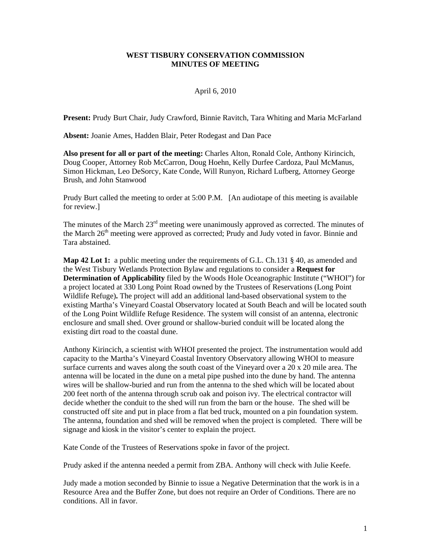## **WEST TISBURY CONSERVATION COMMISSION MINUTES OF MEETING**

# April 6, 2010

**Present:** Prudy Burt Chair, Judy Crawford, Binnie Ravitch, Tara Whiting and Maria McFarland

**Absent:** Joanie Ames, Hadden Blair, Peter Rodegast and Dan Pace

**Also present for all or part of the meeting:** Charles Alton, Ronald Cole, Anthony Kirincich, Doug Cooper, Attorney Rob McCarron, Doug Hoehn, Kelly Durfee Cardoza, Paul McManus, Simon Hickman, Leo DeSorcy, Kate Conde, Will Runyon, Richard Lufberg, Attorney George Brush, and John Stanwood

Prudy Burt called the meeting to order at 5:00 P.M. [An audiotape of this meeting is available for review.]

The minutes of the March  $23<sup>rd</sup>$  meeting were unanimously approved as corrected. The minutes of the March  $26<sup>th</sup>$  meeting were approved as corrected; Prudy and Judy voted in favor. Binnie and Tara abstained.

**Map 42 Lot 1:** a public meeting under the requirements of G.L. Ch.131 § 40, as amended and the West Tisbury Wetlands Protection Bylaw and regulations to consider a **Request for Determination of Applicability** filed by the Woods Hole Oceanographic Institute ("WHOI") for a project located at 330 Long Point Road owned by the Trustees of Reservations (Long Point Wildlife Refuge)**.** The project will add an additional land-based observational system to the existing Martha's Vineyard Coastal Observatory located at South Beach and will be located south of the Long Point Wildlife Refuge Residence. The system will consist of an antenna, electronic enclosure and small shed. Over ground or shallow-buried conduit will be located along the existing dirt road to the coastal dune.

Anthony Kirincich, a scientist with WHOI presented the project. The instrumentation would add capacity to the Martha's Vineyard Coastal Inventory Observatory allowing WHOI to measure surface currents and waves along the south coast of the Vineyard over a 20 x 20 mile area. The antenna will be located in the dune on a metal pipe pushed into the dune by hand. The antenna wires will be shallow-buried and run from the antenna to the shed which will be located about 200 feet north of the antenna through scrub oak and poison ivy. The electrical contractor will decide whether the conduit to the shed will run from the barn or the house. The shed will be constructed off site and put in place from a flat bed truck, mounted on a pin foundation system. The antenna, foundation and shed will be removed when the project is completed. There will be signage and kiosk in the visitor's center to explain the project.

Kate Conde of the Trustees of Reservations spoke in favor of the project.

Prudy asked if the antenna needed a permit from ZBA. Anthony will check with Julie Keefe.

Judy made a motion seconded by Binnie to issue a Negative Determination that the work is in a Resource Area and the Buffer Zone, but does not require an Order of Conditions. There are no conditions. All in favor.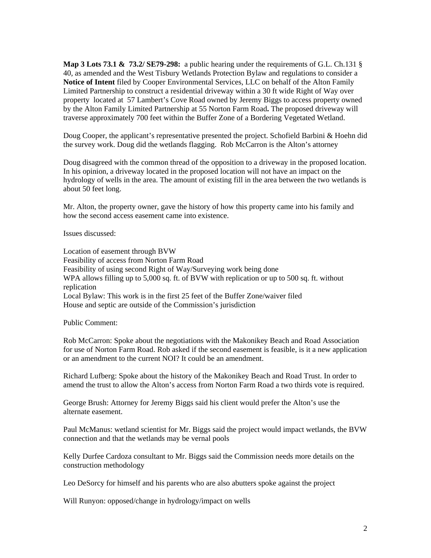**Map 3 Lots 73.1 & 73.2/ SE79-298:** a public hearing under the requirements of G.L. Ch.131 § 40, as amended and the West Tisbury Wetlands Protection Bylaw and regulations to consider a **Notice of Intent** filed by Cooper Environmental Services, LLC on behalf of the Alton Family Limited Partnership to construct a residential driveway within a 30 ft wide Right of Way over property located at 57 Lambert's Cove Road owned by Jeremy Biggs to access property owned by the Alton Family Limited Partnership at 55 Norton Farm Road**.** The proposed driveway will traverse approximately 700 feet within the Buffer Zone of a Bordering Vegetated Wetland.

Doug Cooper, the applicant's representative presented the project. Schofield Barbini & Hoehn did the survey work. Doug did the wetlands flagging. Rob McCarron is the Alton's attorney

Doug disagreed with the common thread of the opposition to a driveway in the proposed location. In his opinion, a driveway located in the proposed location will not have an impact on the hydrology of wells in the area. The amount of existing fill in the area between the two wetlands is about 50 feet long.

Mr. Alton, the property owner, gave the history of how this property came into his family and how the second access easement came into existence.

Issues discussed:

Location of easement through BVW Feasibility of access from Norton Farm Road Feasibility of using second Right of Way/Surveying work being done WPA allows filling up to 5,000 sq. ft. of BVW with replication or up to 500 sq. ft. without replication Local Bylaw: This work is in the first 25 feet of the Buffer Zone/waiver filed House and septic are outside of the Commission's jurisdiction

Public Comment:

Rob McCarron: Spoke about the negotiations with the Makonikey Beach and Road Association for use of Norton Farm Road. Rob asked if the second easement is feasible, is it a new application or an amendment to the current NOI? It could be an amendment.

Richard Lufberg: Spoke about the history of the Makonikey Beach and Road Trust. In order to amend the trust to allow the Alton's access from Norton Farm Road a two thirds vote is required.

George Brush: Attorney for Jeremy Biggs said his client would prefer the Alton's use the alternate easement.

Paul McManus: wetland scientist for Mr. Biggs said the project would impact wetlands, the BVW connection and that the wetlands may be vernal pools

Kelly Durfee Cardoza consultant to Mr. Biggs said the Commission needs more details on the construction methodology

Leo DeSorcy for himself and his parents who are also abutters spoke against the project

Will Runyon: opposed/change in hydrology/impact on wells